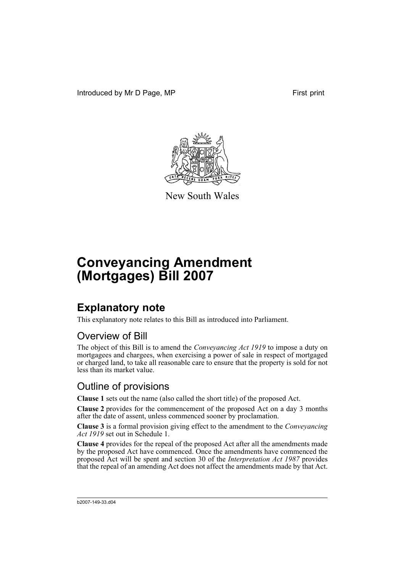Introduced by Mr D Page, MP First print



New South Wales

# **Conveyancing Amendment (Mortgages) Bill 2007**

# **Explanatory note**

This explanatory note relates to this Bill as introduced into Parliament.

### Overview of Bill

The object of this Bill is to amend the *Conveyancing Act 1919* to impose a duty on mortgagees and chargees, when exercising a power of sale in respect of mortgaged or charged land, to take all reasonable care to ensure that the property is sold for not less than its market value.

### Outline of provisions

**Clause 1** sets out the name (also called the short title) of the proposed Act.

**Clause 2** provides for the commencement of the proposed Act on a day 3 months after the date of assent, unless commenced sooner by proclamation.

**Clause 3** is a formal provision giving effect to the amendment to the *Conveyancing Act 1919* set out in Schedule 1.

**Clause 4** provides for the repeal of the proposed Act after all the amendments made by the proposed Act have commenced. Once the amendments have commenced the proposed Act will be spent and section 30 of the *Interpretation Act 1987* provides that the repeal of an amending Act does not affect the amendments made by that Act.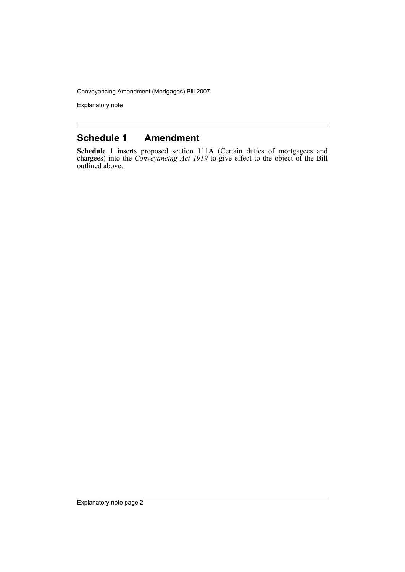Conveyancing Amendment (Mortgages) Bill 2007

Explanatory note

#### **Schedule 1 Amendment**

**Schedule 1** inserts proposed section 111A (Certain duties of mortgagees and chargees) into the *Conveyancing Act 1919* to give effect to the object of the Bill outlined above.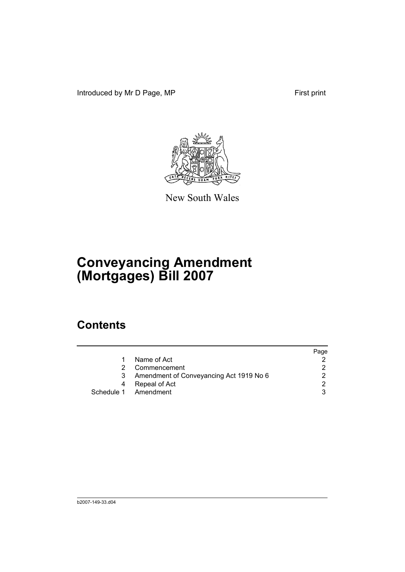Introduced by Mr D Page, MP First print



New South Wales

# **Conveyancing Amendment (Mortgages) Bill 2007**

## **Contents**

|                                         | Page          |
|-----------------------------------------|---------------|
| Name of Act                             |               |
| Commencement                            | 2.            |
| Amendment of Conveyancing Act 1919 No 6 | $\mathcal{D}$ |
| Repeal of Act                           | 2             |
| Schedule 1 Amendment                    | 3             |
|                                         |               |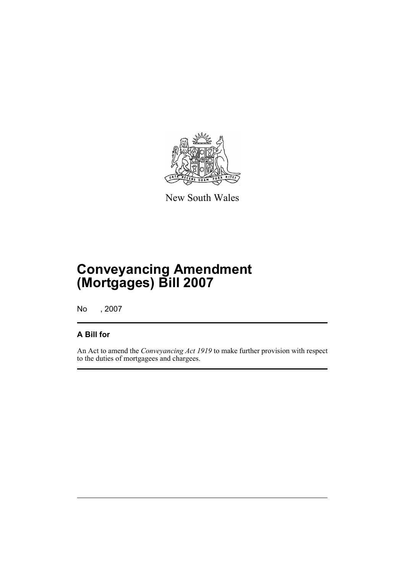

New South Wales

# **Conveyancing Amendment (Mortgages) Bill 2007**

No , 2007

#### **A Bill for**

An Act to amend the *Conveyancing Act 1919* to make further provision with respect to the duties of mortgagees and chargees.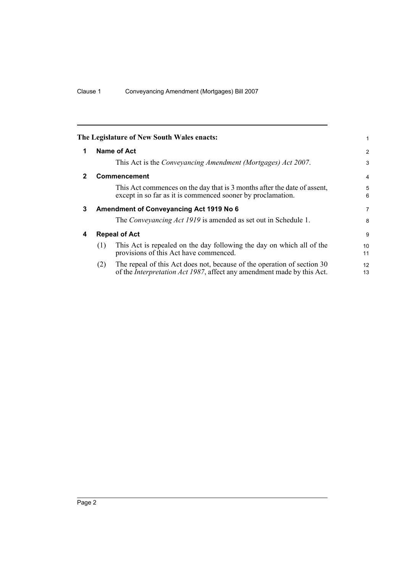<span id="page-5-3"></span><span id="page-5-2"></span><span id="page-5-1"></span><span id="page-5-0"></span>

|              |     | The Legislature of New South Wales enacts:                                                                                                                | 1              |
|--------------|-----|-----------------------------------------------------------------------------------------------------------------------------------------------------------|----------------|
| 1            |     | Name of Act                                                                                                                                               | 2              |
|              |     | This Act is the <i>Conveyancing Amendment (Mortgages) Act 2007</i> .                                                                                      | 3              |
| $\mathbf{2}$ |     | <b>Commencement</b>                                                                                                                                       | 4              |
|              |     | This Act commences on the day that is 3 months after the date of assent,<br>except in so far as it is commenced sooner by proclamation.                   | 5<br>6         |
| 3            |     | <b>Amendment of Conveyancing Act 1919 No 6</b>                                                                                                            | $\overline{7}$ |
|              |     | The Conveyancing Act 1919 is amended as set out in Schedule 1.                                                                                            | 8              |
| 4            |     | <b>Repeal of Act</b>                                                                                                                                      | 9              |
|              | (1) | This Act is repealed on the day following the day on which all of the<br>provisions of this Act have commenced.                                           | 10<br>11       |
|              | (2) | The repeal of this Act does not, because of the operation of section 30<br>of the <i>Interpretation Act 1987</i> , affect any amendment made by this Act. | 12<br>13       |